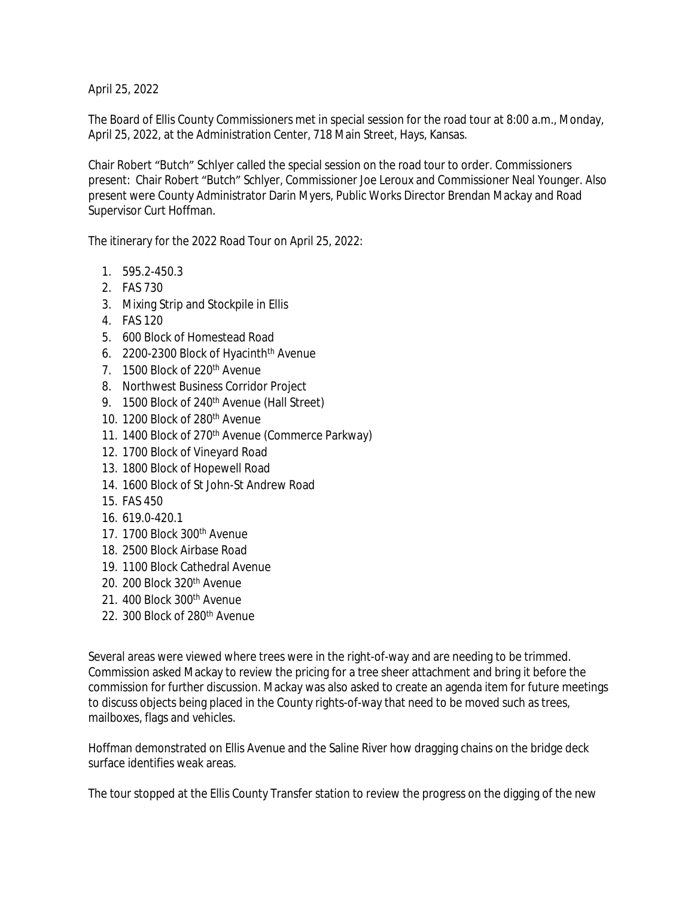April 25, 2022

The Board of Ellis County Commissioners met in special session for the road tour at 8:00 a.m., Monday, April 25, 2022, at the Administration Center, 718 Main Street, Hays, Kansas.

Chair Robert "Butch" Schlyer called the special session on the road tour to order. Commissioners present: Chair Robert "Butch" Schlyer, Commissioner Joe Leroux and Commissioner Neal Younger. Also present were County Administrator Darin Myers, Public Works Director Brendan Mackay and Road Supervisor Curt Hoffman.

The itinerary for the 2022 Road Tour on April 25, 2022:

- 1. 595.2-450.3
- 2. FAS 730
- 3. Mixing Strip and Stockpile in Ellis
- 4. FAS 120
- 5. 600 Block of Homestead Road
- 6. 2200-2300 Block of Hyacinth<sup>th</sup> Avenue
- 7. 1500 Block of 220<sup>th</sup> Avenue
- 8. Northwest Business Corridor Project
- 9. 1500 Block of 240<sup>th</sup> Avenue (Hall Street)
- 10. 1200 Block of 280th Avenue
- 11. 1400 Block of 270<sup>th</sup> Avenue (Commerce Parkway)
- 12. 1700 Block of Vineyard Road
- 13. 1800 Block of Hopewell Road
- 14. 1600 Block of St John-St Andrew Road
- 15. FAS 450
- 16. 619.0-420.1
- 17. 1700 Block 300<sup>th</sup> Avenue
- 18. 2500 Block Airbase Road
- 19. 1100 Block Cathedral Avenue
- 20. 200 Block 320th Avenue
- 21. 400 Block 300<sup>th</sup> Avenue
- 22. 300 Block of 280th Avenue

Several areas were viewed where trees were in the right-of-way and are needing to be trimmed. Commission asked Mackay to review the pricing for a tree sheer attachment and bring it before the commission for further discussion. Mackay was also asked to create an agenda item for future meetings to discuss objects being placed in the County rights-of-way that need to be moved such as trees, mailboxes, flags and vehicles.

Hoffman demonstrated on Ellis Avenue and the Saline River how dragging chains on the bridge deck surface identifies weak areas.

The tour stopped at the Ellis County Transfer station to review the progress on the digging of the new